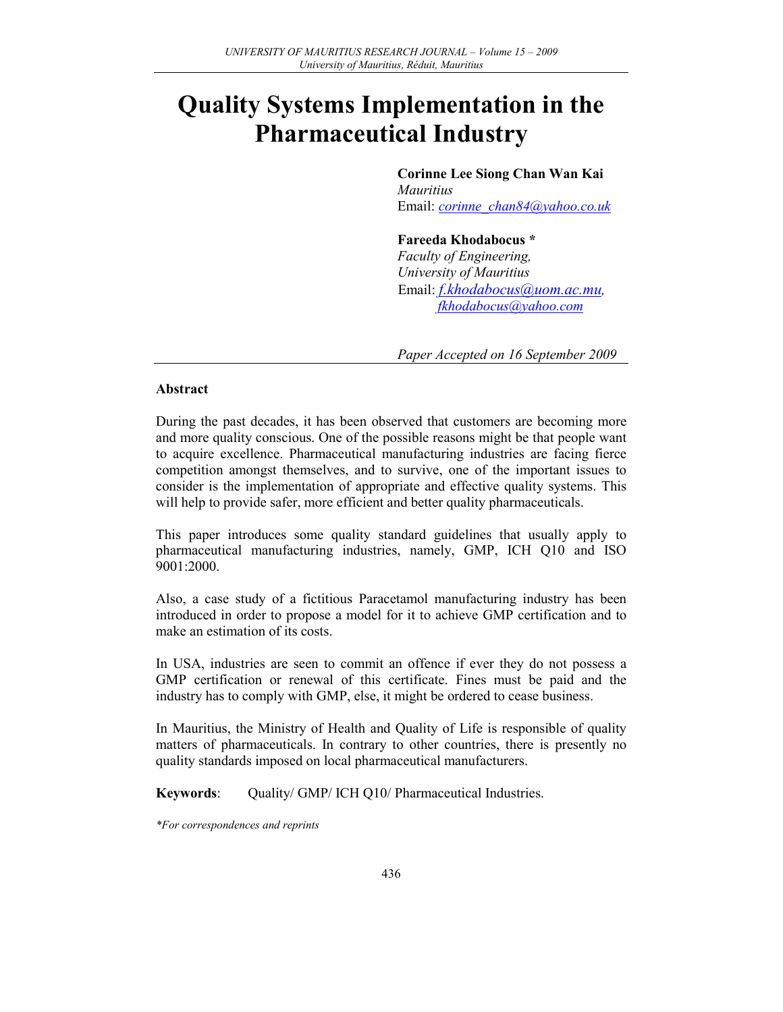# Quality Systems Implementation in the Pharmaceutical Industry

Corinne Lee Siong Chan Wan Kai **Mauritius** Email: corinne\_chan84@yahoo.co.uk

## Fareeda Khodabocus \*

Faculty of Engineering, University of Mauritius Email: f.khodabocus@uom.ac.mu, fkhodabocus@yahoo.com

Paper Accepted on 16 September 2009

## Abstract

During the past decades, it has been observed that customers are becoming more and more quality conscious. One of the possible reasons might be that people want to acquire excellence. Pharmaceutical manufacturing industries are facing fierce competition amongst themselves, and to survive, one of the important issues to consider is the implementation of appropriate and effective quality systems. This will help to provide safer, more efficient and better quality pharmaceuticals.

This paper introduces some quality standard guidelines that usually apply to pharmaceutical manufacturing industries, namely, GMP, ICH Q10 and ISO 9001:2000.

Also, a case study of a fictitious Paracetamol manufacturing industry has been introduced in order to propose a model for it to achieve GMP certification and to make an estimation of its costs.

In USA, industries are seen to commit an offence if ever they do not possess a GMP certification or renewal of this certificate. Fines must be paid and the industry has to comply with GMP, else, it might be ordered to cease business.

In Mauritius, the Ministry of Health and Quality of Life is responsible of quality matters of pharmaceuticals. In contrary to other countries, there is presently no quality standards imposed on local pharmaceutical manufacturers.

Keywords: Quality/ GMP/ ICH Q10/ Pharmaceutical Industries.

\*For correspondences and reprints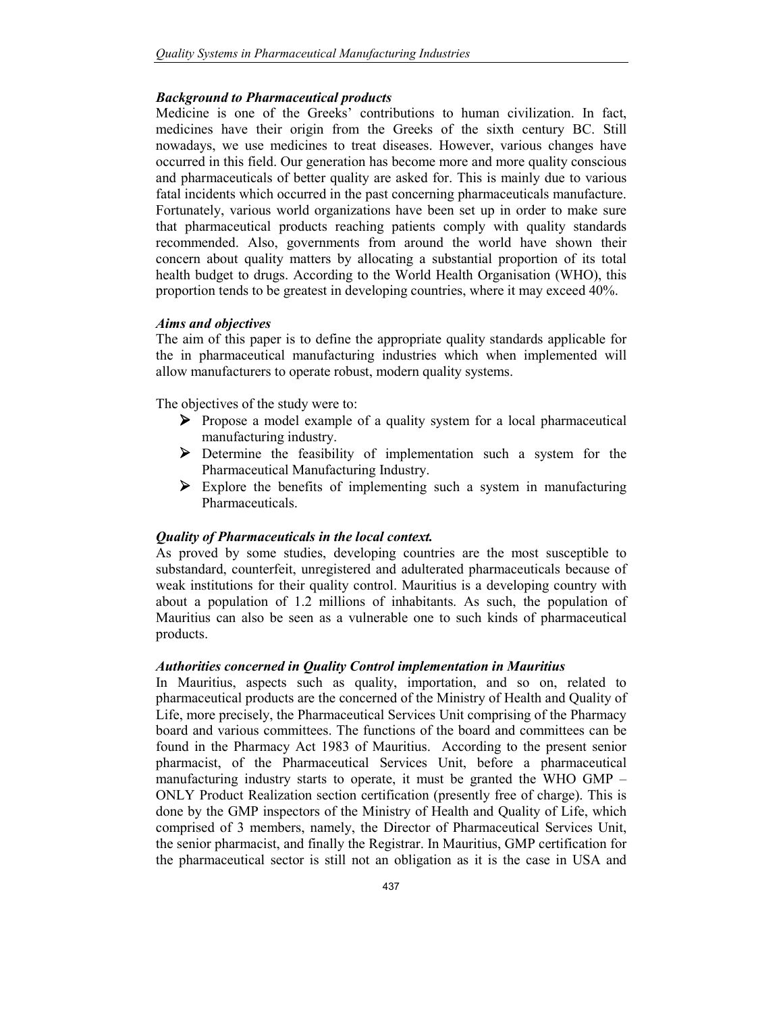## *Background to Pharmaceutical products*

Medicine is one of the Greeks' contributions to human civilization. In fact, medicines have their origin from the Greeks of the sixth century BC. Still nowadays, we use medicines to treat diseases. However, various changes have occurred in this field. Our generation has become more and more quality conscious and pharmaceuticals of better quality are asked for. This is mainly due to various fatal incidents which occurred in the past concerning pharmaceuticals manufacture. Fortunately, various world organizations have been set up in order to make sure that pharmaceutical products reaching patients comply with quality standards recommended. Also, governments from around the world have shown their concern about quality matters by allocating a substantial proportion of its total health budget to drugs. According to the World Health Organisation (WHO), this proportion tends to be greatest in developing countries, where it may exceed 40%.

## *Aims and objectives*

The aim of this paper is to define the appropriate quality standards applicable for the in pharmaceutical manufacturing industries which when implemented will allow manufacturers to operate robust, modern quality systems.

The objectives of the study were to:

- Propose a model example of a quality system for a local pharmaceutical manufacturing industry.
- Determine the feasibility of implementation such a system for the Pharmaceutical Manufacturing Industry.
- $\triangleright$  Explore the benefits of implementing such a system in manufacturing Pharmaceuticals.

## *Quality of Pharmaceuticals in the local context.*

As proved by some studies, developing countries are the most susceptible to substandard, counterfeit, unregistered and adulterated pharmaceuticals because of weak institutions for their quality control. Mauritius is a developing country with about a population of 1.2 millions of inhabitants. As such, the population of Mauritius can also be seen as a vulnerable one to such kinds of pharmaceutical products.

## *Authorities concerned in Quality Control implementation in Mauritius*

In Mauritius, aspects such as quality, importation, and so on, related to pharmaceutical products are the concerned of the Ministry of Health and Quality of Life, more precisely, the Pharmaceutical Services Unit comprising of the Pharmacy board and various committees. The functions of the board and committees can be found in the Pharmacy Act 1983 of Mauritius. According to the present senior pharmacist, of the Pharmaceutical Services Unit, before a pharmaceutical manufacturing industry starts to operate, it must be granted the WHO GMP – ONLY Product Realization section certification (presently free of charge). This is done by the GMP inspectors of the Ministry of Health and Quality of Life, which comprised of 3 members, namely, the Director of Pharmaceutical Services Unit, the senior pharmacist, and finally the Registrar. In Mauritius, GMP certification for the pharmaceutical sector is still not an obligation as it is the case in USA and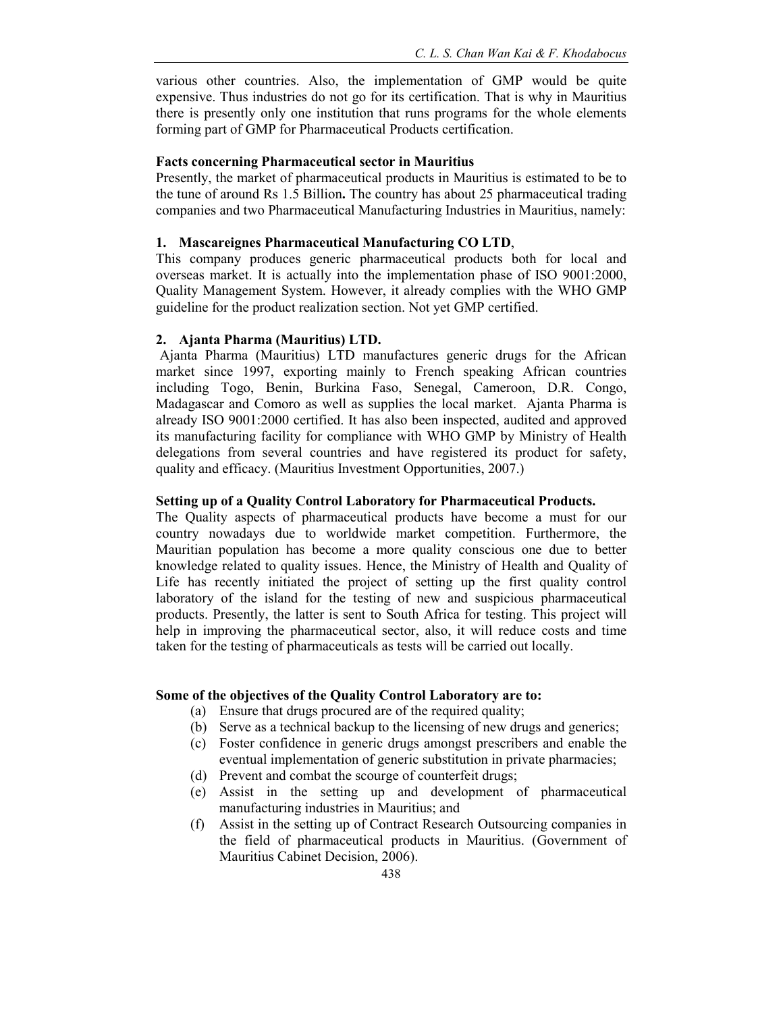various other countries. Also, the implementation of GMP would be quite expensive. Thus industries do not go for its certification. That is why in Mauritius there is presently only one institution that runs programs for the whole elements forming part of GMP for Pharmaceutical Products certification.

## Facts concerning Pharmaceutical sector in Mauritius

Presently, the market of pharmaceutical products in Mauritius is estimated to be to the tune of around Rs 1.5 Billion. The country has about 25 pharmaceutical trading companies and two Pharmaceutical Manufacturing Industries in Mauritius, namely:

## 1. Mascareignes Pharmaceutical Manufacturing CO LTD,

This company produces generic pharmaceutical products both for local and overseas market. It is actually into the implementation phase of ISO 9001:2000, Quality Management System. However, it already complies with the WHO GMP guideline for the product realization section. Not yet GMP certified.

## 2. Ajanta Pharma (Mauritius) LTD.

Ajanta Pharma (Mauritius) LTD manufactures generic drugs for the African market since 1997, exporting mainly to French speaking African countries including Togo, Benin, Burkina Faso, Senegal, Cameroon, D.R. Congo, Madagascar and Comoro as well as supplies the local market. Ajanta Pharma is already ISO 9001:2000 certified. It has also been inspected, audited and approved its manufacturing facility for compliance with WHO GMP by Ministry of Health delegations from several countries and have registered its product for safety, quality and efficacy. (Mauritius Investment Opportunities, 2007.)

## Setting up of a Quality Control Laboratory for Pharmaceutical Products.

The Quality aspects of pharmaceutical products have become a must for our country nowadays due to worldwide market competition. Furthermore, the Mauritian population has become a more quality conscious one due to better knowledge related to quality issues. Hence, the Ministry of Health and Quality of Life has recently initiated the project of setting up the first quality control laboratory of the island for the testing of new and suspicious pharmaceutical products. Presently, the latter is sent to South Africa for testing. This project will help in improving the pharmaceutical sector, also, it will reduce costs and time taken for the testing of pharmaceuticals as tests will be carried out locally.

## Some of the objectives of the Quality Control Laboratory are to:

- (a) Ensure that drugs procured are of the required quality;
- (b) Serve as a technical backup to the licensing of new drugs and generics;
- (c) Foster confidence in generic drugs amongst prescribers and enable the eventual implementation of generic substitution in private pharmacies;
- (d) Prevent and combat the scourge of counterfeit drugs;
- (e) Assist in the setting up and development of pharmaceutical manufacturing industries in Mauritius; and
- (f) Assist in the setting up of Contract Research Outsourcing companies in the field of pharmaceutical products in Mauritius. (Government of Mauritius Cabinet Decision, 2006).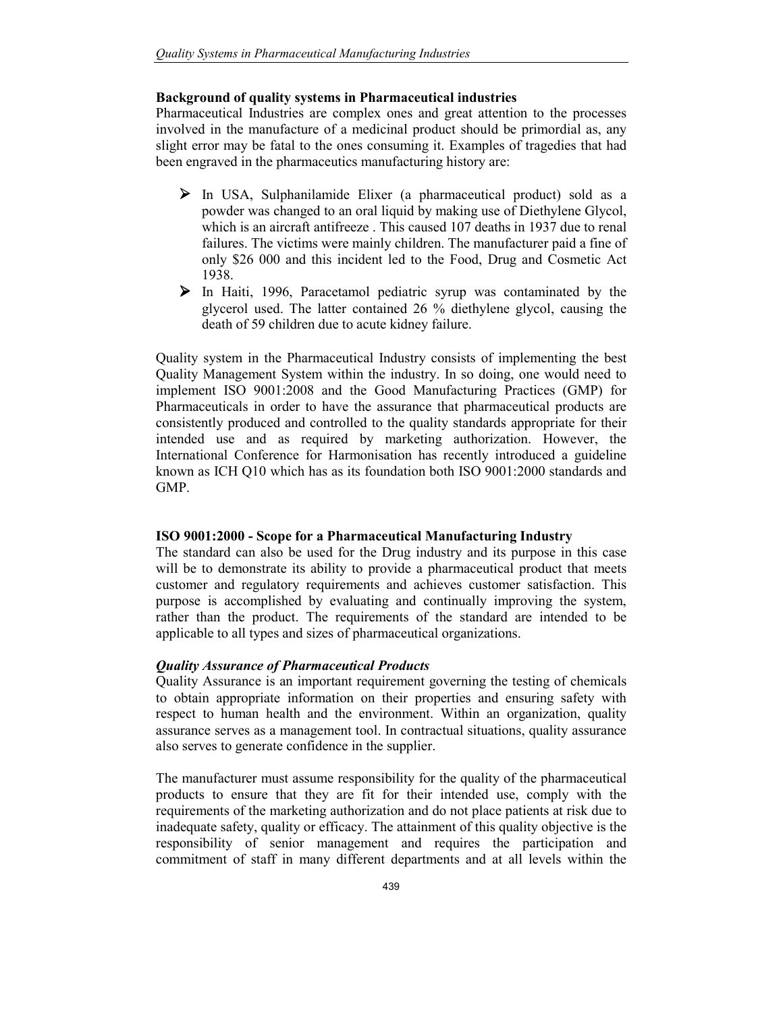## Background of quality systems in Pharmaceutical industries

Pharmaceutical Industries are complex ones and great attention to the processes involved in the manufacture of a medicinal product should be primordial as, any slight error may be fatal to the ones consuming it. Examples of tragedies that had been engraved in the pharmaceutics manufacturing history are:

- $\triangleright$  In USA, Sulphanilamide Elixer (a pharmaceutical product) sold as a powder was changed to an oral liquid by making use of Diethylene Glycol, which is an aircraft antifreeze . This caused 107 deaths in 1937 due to renal failures. The victims were mainly children. The manufacturer paid a fine of only \$26 000 and this incident led to the Food, Drug and Cosmetic Act 1938.
- In Haiti, 1996, Paracetamol pediatric syrup was contaminated by the glycerol used. The latter contained 26 % diethylene glycol, causing the death of 59 children due to acute kidney failure.

Quality system in the Pharmaceutical Industry consists of implementing the best Quality Management System within the industry. In so doing, one would need to implement ISO 9001:2008 and the Good Manufacturing Practices (GMP) for Pharmaceuticals in order to have the assurance that pharmaceutical products are consistently produced and controlled to the quality standards appropriate for their intended use and as required by marketing authorization. However, the International Conference for Harmonisation has recently introduced a guideline known as ICH Q10 which has as its foundation both ISO 9001:2000 standards and GMP.

## ISO 9001:2000 - Scope for a Pharmaceutical Manufacturing Industry

The standard can also be used for the Drug industry and its purpose in this case will be to demonstrate its ability to provide a pharmaceutical product that meets customer and regulatory requirements and achieves customer satisfaction. This purpose is accomplished by evaluating and continually improving the system, rather than the product. The requirements of the standard are intended to be applicable to all types and sizes of pharmaceutical organizations.

## *Quality Assurance of Pharmaceutical Products*

Quality Assurance is an important requirement governing the testing of chemicals to obtain appropriate information on their properties and ensuring safety with respect to human health and the environment. Within an organization, quality assurance serves as a management tool. In contractual situations, quality assurance also serves to generate confidence in the supplier.

The manufacturer must assume responsibility for the quality of the pharmaceutical products to ensure that they are fit for their intended use, comply with the requirements of the marketing authorization and do not place patients at risk due to inadequate safety, quality or efficacy. The attainment of this quality objective is the responsibility of senior management and requires the participation and commitment of staff in many different departments and at all levels within the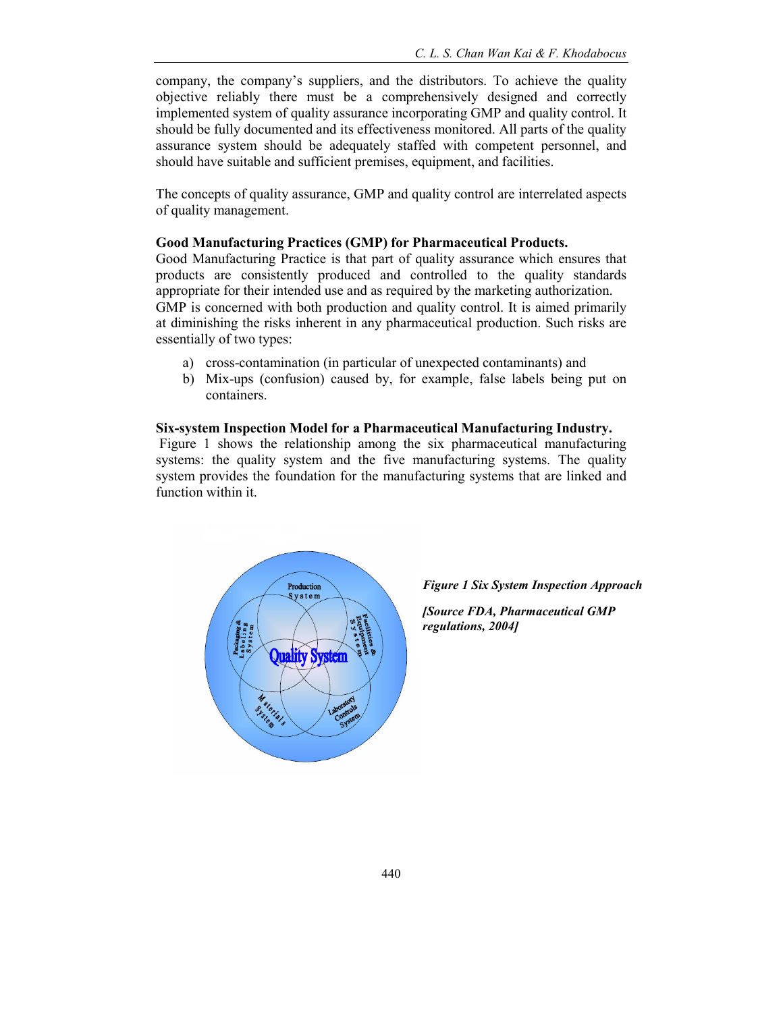company, the company's suppliers, and the distributors. To achieve the quality objective reliably there must be a comprehensively designed and correctly implemented system of quality assurance incorporating GMP and quality control. It should be fully documented and its effectiveness monitored. All parts of the quality assurance system should be adequately staffed with competent personnel, and should have suitable and sufficient premises, equipment, and facilities.

The concepts of quality assurance, GMP and quality control are interrelated aspects of quality management.

## Good Manufacturing Practices (GMP) for Pharmaceutical Products.

Good Manufacturing Practice is that part of quality assurance which ensures that products are consistently produced and controlled to the quality standards appropriate for their intended use and as required by the marketing authorization. GMP is concerned with both production and quality control. It is aimed primarily at diminishing the risks inherent in any pharmaceutical production. Such risks are essentially of two types:

- a) cross-contamination (in particular of unexpected contaminants) and
- b) Mix-ups (confusion) caused by, for example, false labels being put on containers.

## Six-system Inspection Model for a Pharmaceutical Manufacturing Industry.

 Figure 1 shows the relationship among the six pharmaceutical manufacturing systems: the quality system and the five manufacturing systems. The quality system provides the foundation for the manufacturing systems that are linked and function within it.



*Figure 1 Six System Inspection Approach* 

*[Source FDA, Pharmaceutical GMP regulations, 2004]*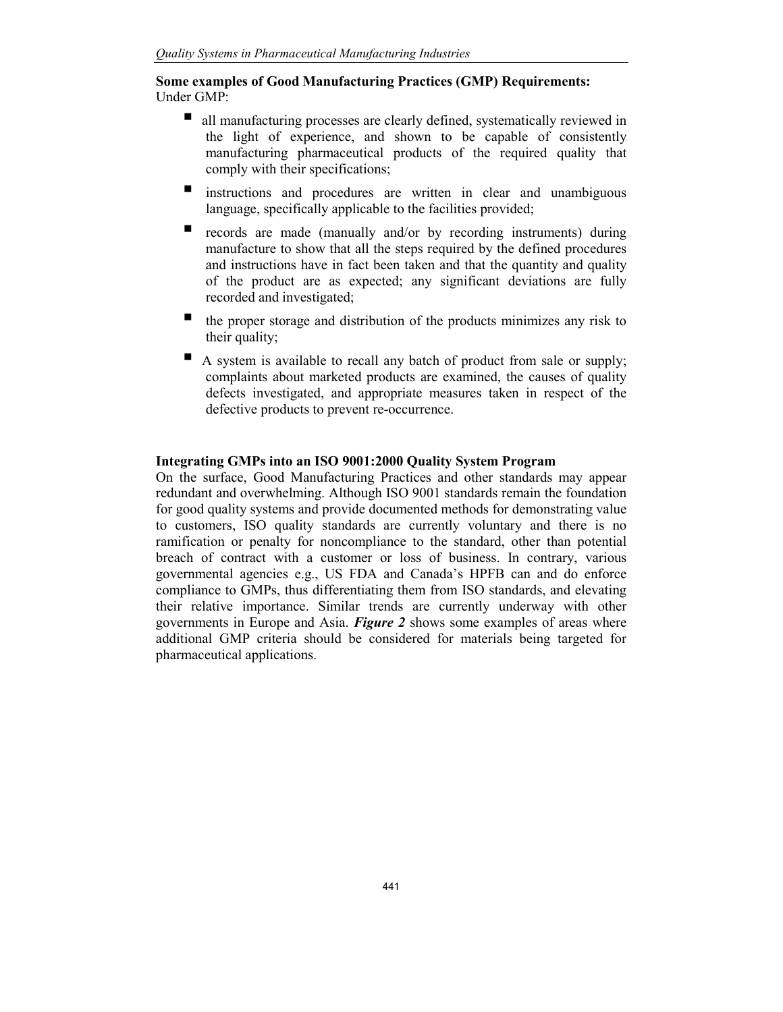## Some examples of Good Manufacturing Practices (GMP) Requirements: Under GMP:

- all manufacturing processes are clearly defined, systematically reviewed in the light of experience, and shown to be capable of consistently manufacturing pharmaceutical products of the required quality that comply with their specifications;
- instructions and procedures are written in clear and unambiguous language, specifically applicable to the facilities provided;
- records are made (manually and/or by recording instruments) during manufacture to show that all the steps required by the defined procedures and instructions have in fact been taken and that the quantity and quality of the product are as expected; any significant deviations are fully recorded and investigated;
- the proper storage and distribution of the products minimizes any risk to their quality;
- - A system is available to recall any batch of product from sale or supply; complaints about marketed products are examined, the causes of quality defects investigated, and appropriate measures taken in respect of the defective products to prevent re-occurrence.

## Integrating GMPs into an ISO 9001:2000 Quality System Program

On the surface, Good Manufacturing Practices and other standards may appear redundant and overwhelming. Although ISO 9001 standards remain the foundation for good quality systems and provide documented methods for demonstrating value to customers, ISO quality standards are currently voluntary and there is no ramification or penalty for noncompliance to the standard, other than potential breach of contract with a customer or loss of business. In contrary, various governmental agencies e.g., US FDA and Canada's HPFB can and do enforce compliance to GMPs, thus differentiating them from ISO standards, and elevating their relative importance. Similar trends are currently underway with other governments in Europe and Asia. *Figure 2* shows some examples of areas where additional GMP criteria should be considered for materials being targeted for pharmaceutical applications.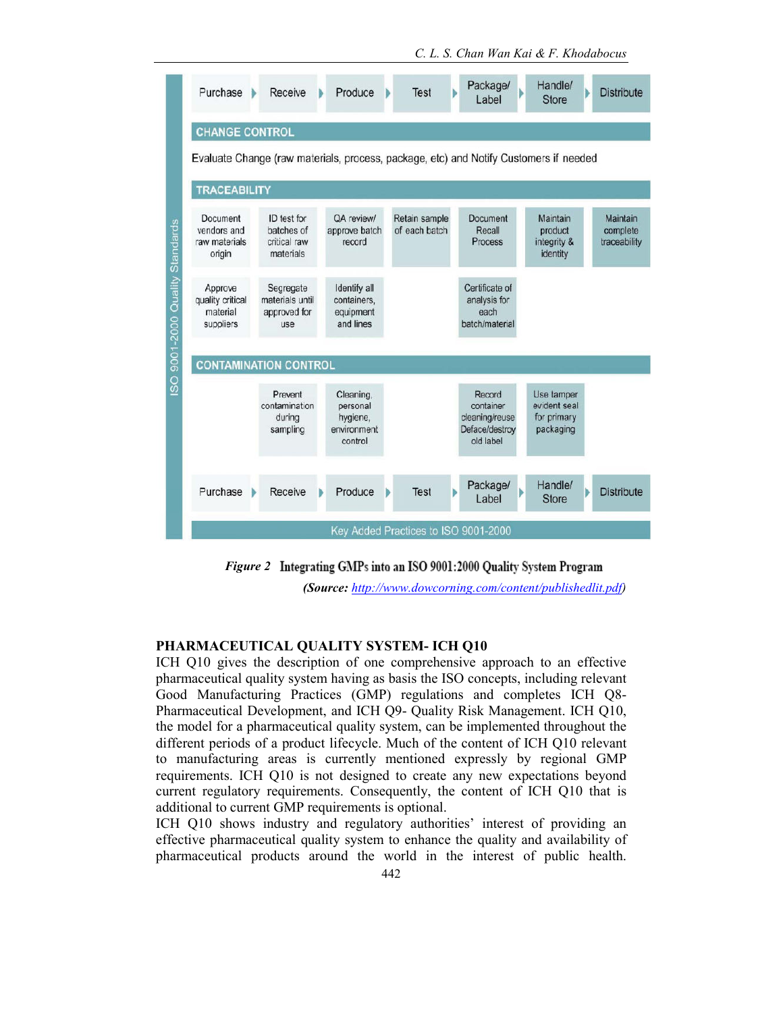

*Figure 2* Integrating GMPs into an ISO 9001:2000 Quality System Program

 *(Source:* http://www.dowcorning.com/content/publishedlit.pdf)

## PHARMACEUTICAL QUALITY SYSTEM- ICH Q10

ICH Q10 gives the description of one comprehensive approach to an effective pharmaceutical quality system having as basis the ISO concepts, including relevant Good Manufacturing Practices (GMP) regulations and completes ICH Q8- Pharmaceutical Development, and ICH Q9- Quality Risk Management. ICH Q10, the model for a pharmaceutical quality system, can be implemented throughout the different periods of a product lifecycle. Much of the content of ICH Q10 relevant to manufacturing areas is currently mentioned expressly by regional GMP requirements. ICH Q10 is not designed to create any new expectations beyond current regulatory requirements. Consequently, the content of ICH Q10 that is additional to current GMP requirements is optional.

ICH Q10 shows industry and regulatory authorities' interest of providing an effective pharmaceutical quality system to enhance the quality and availability of pharmaceutical products around the world in the interest of public health.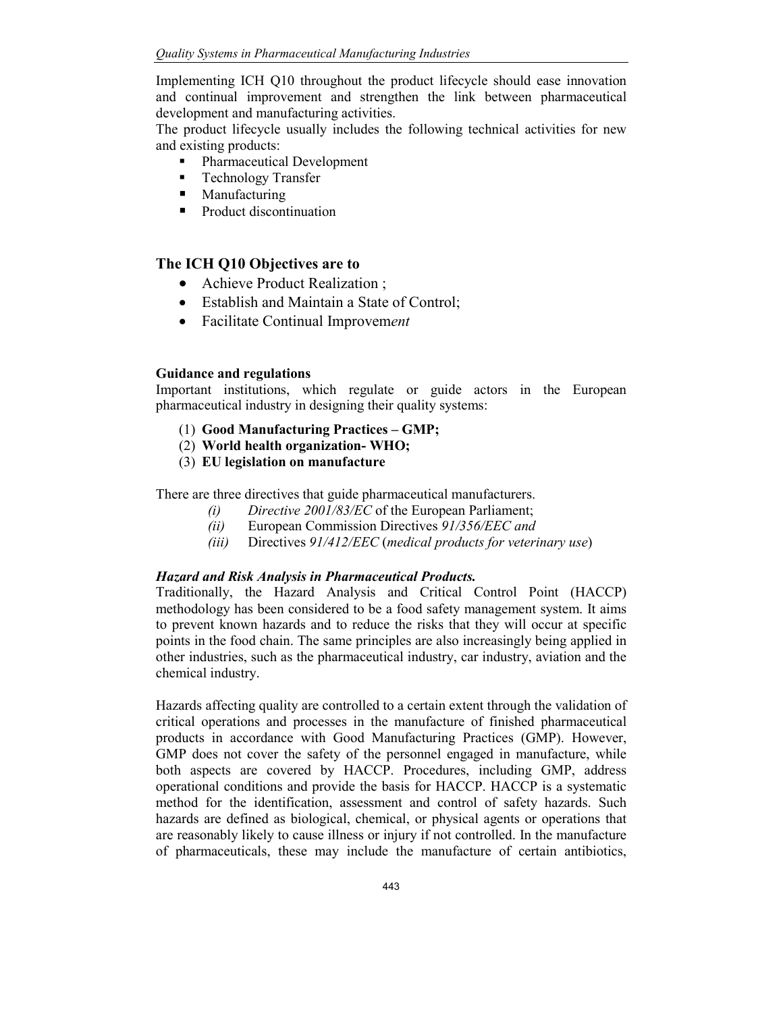Implementing ICH Q10 throughout the product lifecycle should ease innovation and continual improvement and strengthen the link between pharmaceutical development and manufacturing activities.

The product lifecycle usually includes the following technical activities for new and existing products:

- Pharmaceutical Development
- **-** Technology Transfer
- Manufacturing
- Product discontinuation

## The ICH Q10 Objectives are to

- Achieve Product Realization ;
- Establish and Maintain a State of Control;
- Facilitate Continual Improvement

## Guidance and regulations

Important institutions, which regulate or guide actors in the European pharmaceutical industry in designing their quality systems:

- (1) Good Manufacturing Practices GMP;
- (2) World health organization- WHO;
- (3) EU legislation on manufacture

There are three directives that guide pharmaceutical manufacturers.

- (i) Directive  $2001/83/EC$  of the European Parliament;
- (ii) European Commission Directives 91/356/EEC and
- (iii) Directives  $91/412/EEC$  (medical products for veterinary use)

## *Hazard and Risk Analysis in Pharmaceutical Products.*

Traditionally, the Hazard Analysis and Critical Control Point (HACCP) methodology has been considered to be a food safety management system. It aims to prevent known hazards and to reduce the risks that they will occur at specific points in the food chain. The same principles are also increasingly being applied in other industries, such as the pharmaceutical industry, car industry, aviation and the chemical industry.

Hazards affecting quality are controlled to a certain extent through the validation of critical operations and processes in the manufacture of finished pharmaceutical products in accordance with Good Manufacturing Practices (GMP). However, GMP does not cover the safety of the personnel engaged in manufacture, while both aspects are covered by HACCP. Procedures, including GMP, address operational conditions and provide the basis for HACCP. HACCP is a systematic method for the identification, assessment and control of safety hazards. Such hazards are defined as biological, chemical, or physical agents or operations that are reasonably likely to cause illness or injury if not controlled. In the manufacture of pharmaceuticals, these may include the manufacture of certain antibiotics,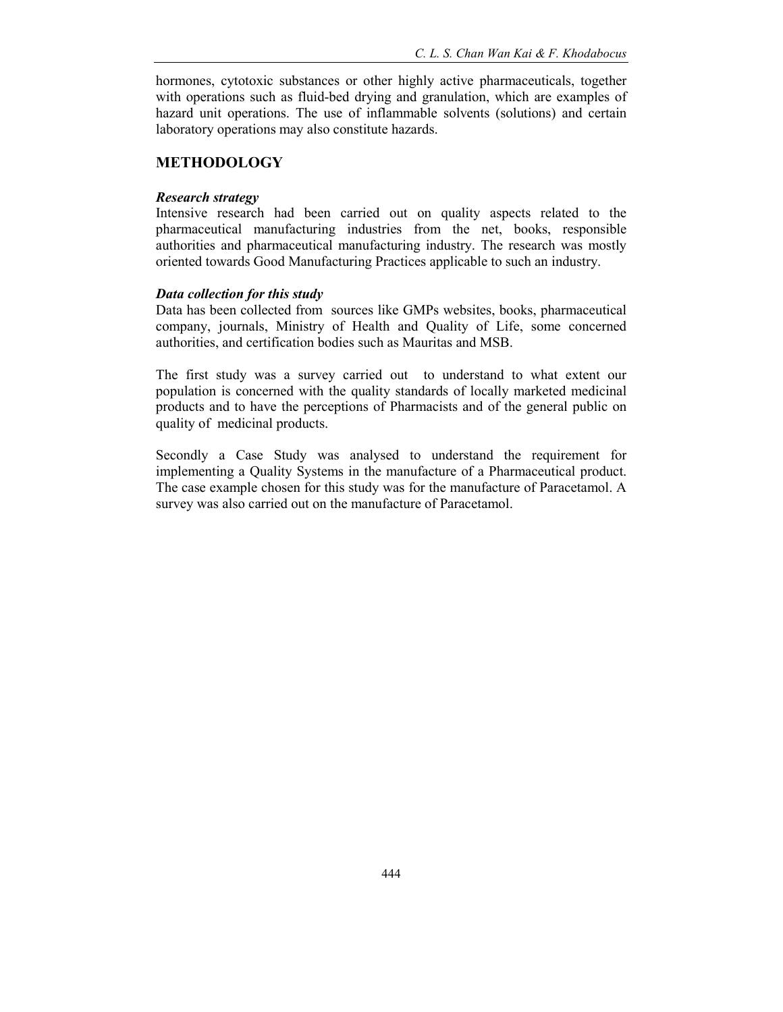hormones, cytotoxic substances or other highly active pharmaceuticals, together with operations such as fluid-bed drying and granulation, which are examples of hazard unit operations. The use of inflammable solvents (solutions) and certain laboratory operations may also constitute hazards.

## METHODOLOGY

## *Research strategy*

Intensive research had been carried out on quality aspects related to the pharmaceutical manufacturing industries from the net, books, responsible authorities and pharmaceutical manufacturing industry. The research was mostly oriented towards Good Manufacturing Practices applicable to such an industry.

## *Data collection for this study*

Data has been collected from sources like GMPs websites, books, pharmaceutical company, journals, Ministry of Health and Quality of Life, some concerned authorities, and certification bodies such as Mauritas and MSB.

The first study was a survey carried out to understand to what extent our population is concerned with the quality standards of locally marketed medicinal products and to have the perceptions of Pharmacists and of the general public on quality of medicinal products.

Secondly a Case Study was analysed to understand the requirement for implementing a Quality Systems in the manufacture of a Pharmaceutical product. The case example chosen for this study was for the manufacture of Paracetamol. A survey was also carried out on the manufacture of Paracetamol.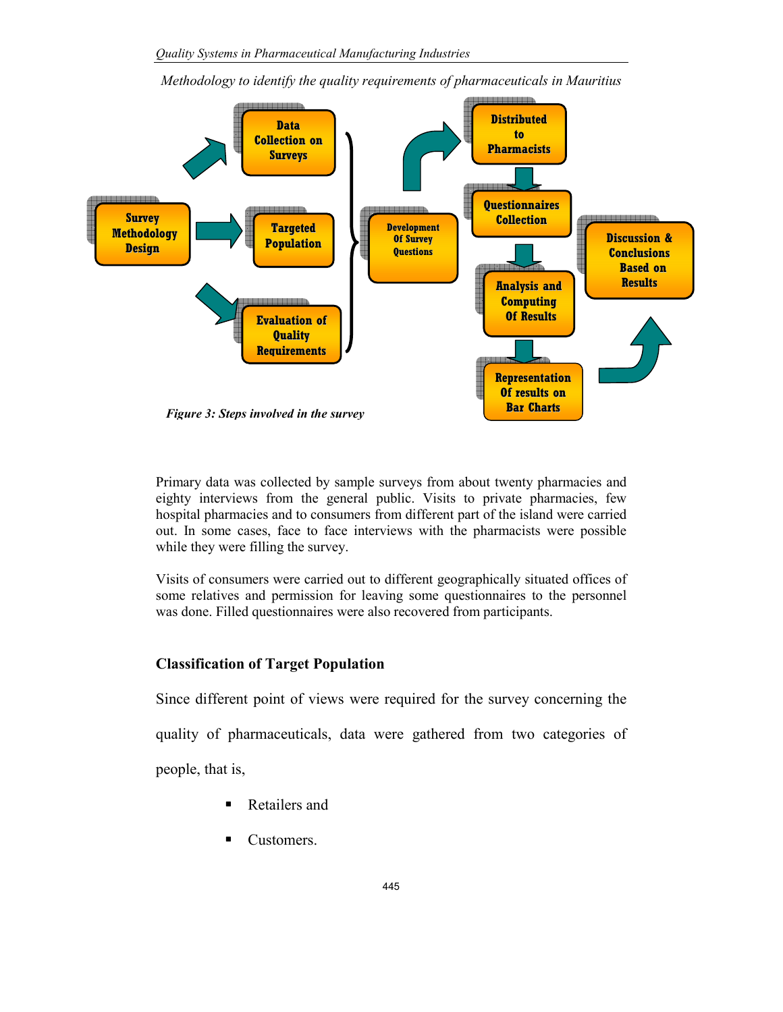

Methodology to identify the quality requirements of pharmaceuticals in Mauritius

Primary data was collected by sample surveys from about twenty pharmacies and eighty interviews from the general public. Visits to private pharmacies, few hospital pharmacies and to consumers from different part of the island were carried out. In some cases, face to face interviews with the pharmacists were possible while they were filling the survey.

Visits of consumers were carried out to different geographically situated offices of some relatives and permission for leaving some questionnaires to the personnel was done. Filled questionnaires were also recovered from participants.

## Classification of Target Population

Since different point of views were required for the survey concerning the

quality of pharmaceuticals, data were gathered from two categories of

people, that is,

- -Retailers and
- -Customers.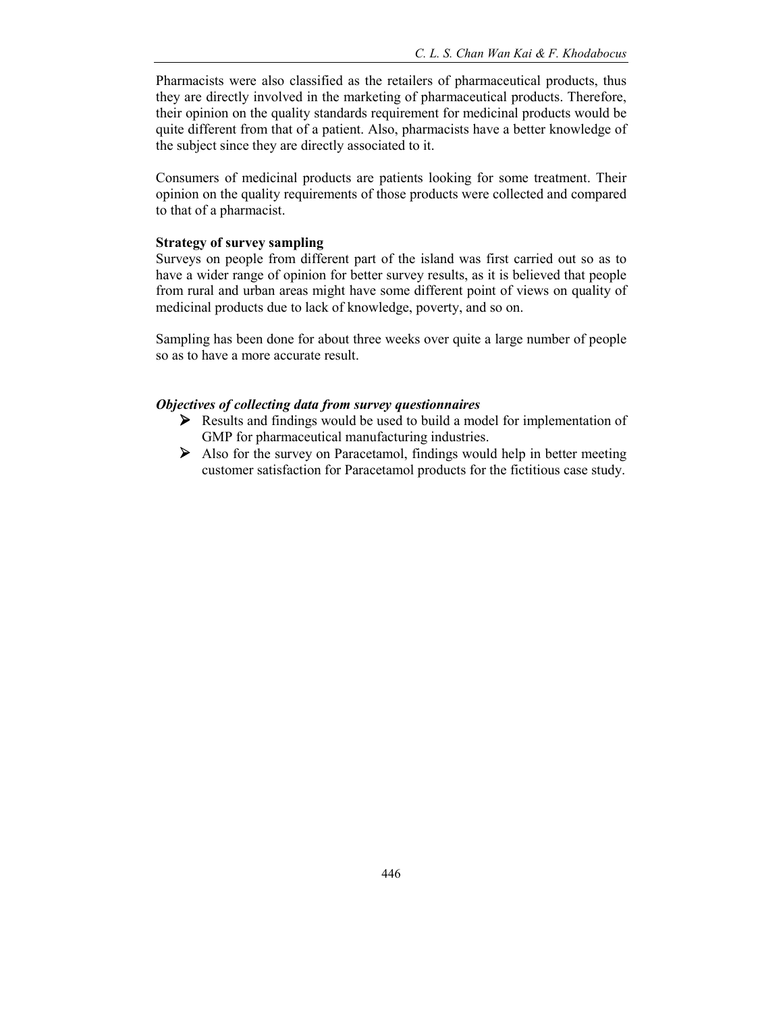Pharmacists were also classified as the retailers of pharmaceutical products, thus they are directly involved in the marketing of pharmaceutical products. Therefore, their opinion on the quality standards requirement for medicinal products would be quite different from that of a patient. Also, pharmacists have a better knowledge of the subject since they are directly associated to it.

Consumers of medicinal products are patients looking for some treatment. Their opinion on the quality requirements of those products were collected and compared to that of a pharmacist.

## Strategy of survey sampling

Surveys on people from different part of the island was first carried out so as to have a wider range of opinion for better survey results, as it is believed that people from rural and urban areas might have some different point of views on quality of medicinal products due to lack of knowledge, poverty, and so on.

Sampling has been done for about three weeks over quite a large number of people so as to have a more accurate result.

## *Objectives of collecting data from survey questionnaires*

- Results and findings would be used to build a model for implementation of GMP for pharmaceutical manufacturing industries.
- $\triangleright$  Also for the survey on Paracetamol, findings would help in better meeting customer satisfaction for Paracetamol products for the fictitious case study.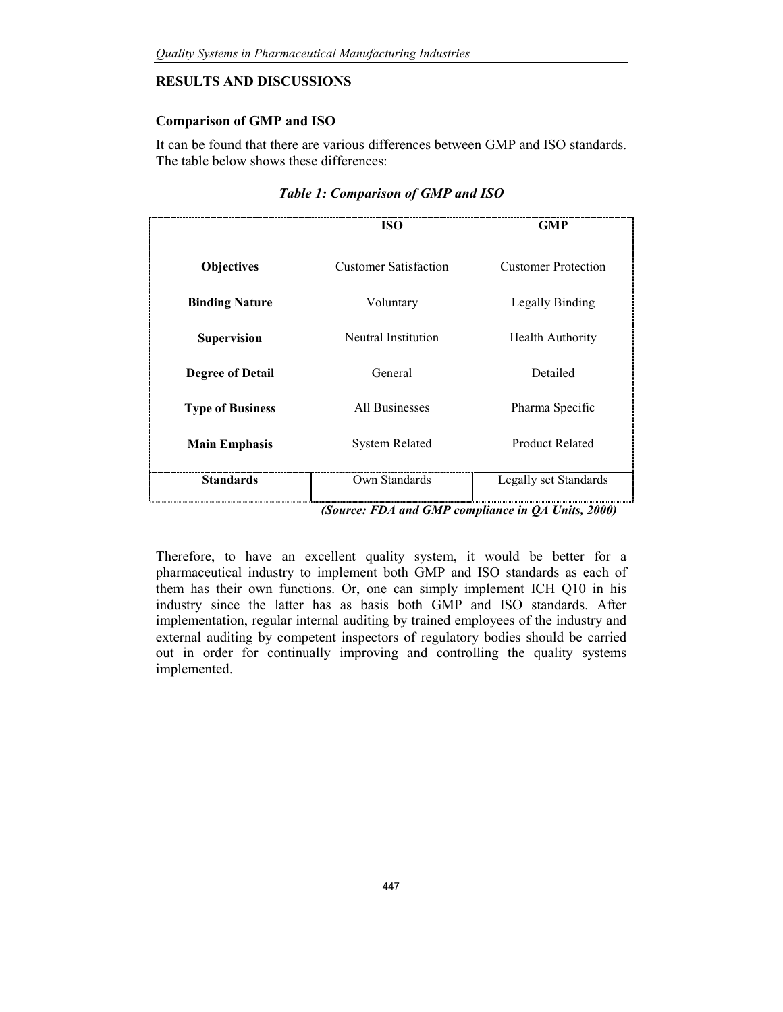## RESULTS AND DISCUSSIONS

## Comparison of GMP and ISO

It can be found that there are various differences between GMP and ISO standards. The table below shows these differences:

|                         | <b>ISO</b>                                         | <b>GMP</b>                 |
|-------------------------|----------------------------------------------------|----------------------------|
| <b>Objectives</b>       | <b>Customer Satisfaction</b>                       | <b>Customer Protection</b> |
| <b>Binding Nature</b>   | Voluntary                                          | Legally Binding            |
| <b>Supervision</b>      | Neutral Institution                                | <b>Health Authority</b>    |
| <b>Degree of Detail</b> | General                                            | Detailed                   |
| <b>Type of Business</b> | All Businesses                                     | Pharma Specific            |
| <b>Main Emphasis</b>    | <b>System Related</b>                              | <b>Product Related</b>     |
| <b>Standards</b>        | Own Standards                                      | Legally set Standards      |
|                         | (Source: FDA and GMP compliance in QA Units, 2000) |                            |

*Table 1: Comparison of GMP and ISO* 

Therefore, to have an excellent quality system, it would be better for a pharmaceutical industry to implement both GMP and ISO standards as each of them has their own functions. Or, one can simply implement ICH Q10 in his industry since the latter has as basis both GMP and ISO standards. After implementation, regular internal auditing by trained employees of the industry and external auditing by competent inspectors of regulatory bodies should be carried out in order for continually improving and controlling the quality systems implemented.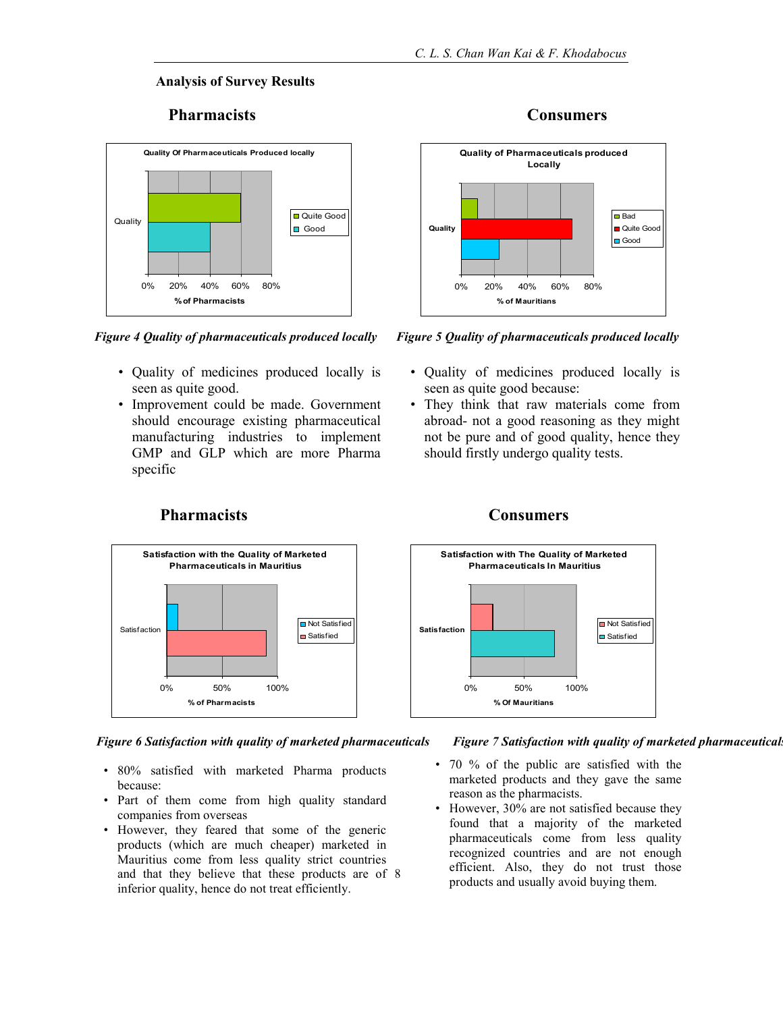## Analysis of Survey Results

## Pharmacists Consumers



## **Figure 4 Quality of pharmaceuticals produced locally**

- Quality of medicines produced locally is seen as quite good.
- Improvement could be made. Government should encourage existing pharmaceutical manufacturing industries to implement GMP and GLP which are more Pharma specific



*Figure 4 Quality of pharmaceuticals produced locally Figure 5 Quality of pharmaceuticals produced locally*

- Quality of medicines produced locally is seen as quite good because:
- They think that raw materials come from abroad- not a good reasoning as they might not be pure and of good quality, hence they should firstly undergo quality tests.



## Pharmacists Consumers

## *Figure 6 Satisfaction with quality of marketed pharmaceuticals Figure 7 Satisfaction with quality of marketed pharmaceuticals*

- 80% satisfied with marketed Pharma products because:
- Part of them come from high quality standard companies from overseas
- and that they believe that these products are of 8 • However, they feared that some of the generic products (which are much cheaper) marketed in Mauritius come from less quality strict countries inferior quality, hence do not treat efficiently.

- 70 % of the public are satisfied with the marketed products and they gave the same reason as the pharmacists.
- However, 30% are not satisfied because they found that a majority of the marketed pharmaceuticals come from less quality recognized countries and are not enough efficient. Also, they do not trust those products and usually avoid buying them.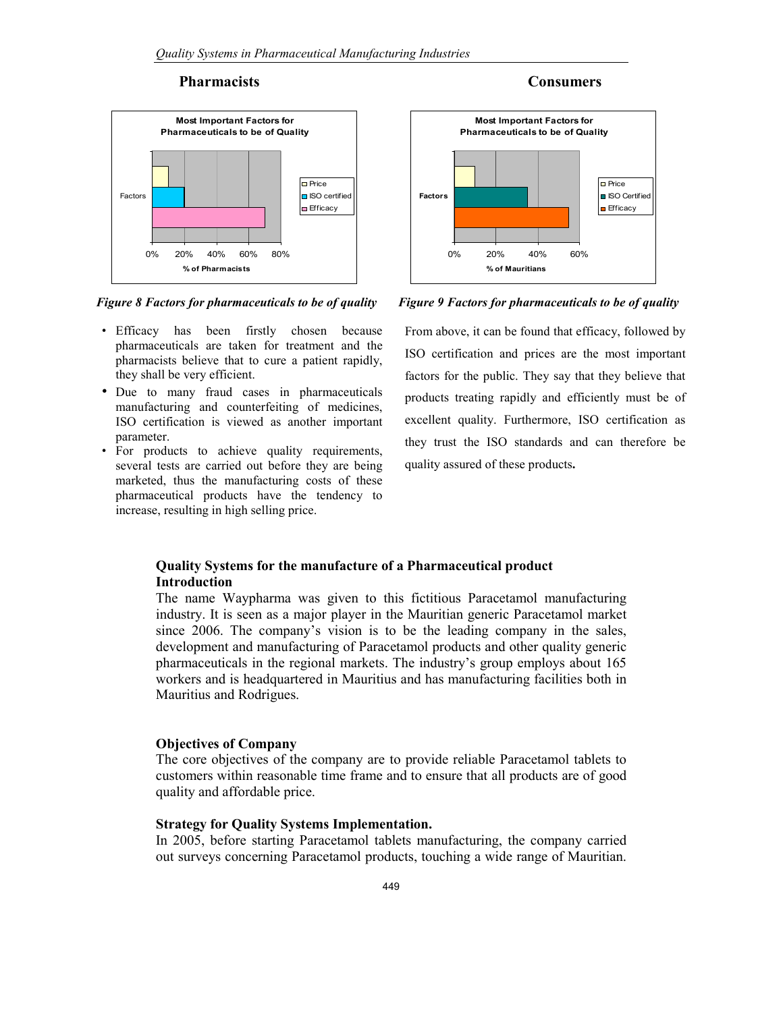

- Efficacy has been firstly chosen because pharmaceuticals are taken for treatment and the pharmacists believe that to cure a patient rapidly, they shall be very efficient.
- Due to many fraud cases in pharmaceuticals manufacturing and counterfeiting of medicines, ISO certification is viewed as another important parameter.
- For products to achieve quality requirements, several tests are carried out before they are being marketed, thus the manufacturing costs of these pharmaceutical products have the tendency to increase, resulting in high selling price.





*Figure 8 Factors for pharmaceuticals to be of quality Figure 9 Factors for pharmaceuticals to be of quality*

From above, it can be found that efficacy, followed by ISO certification and prices are the most important factors for the public. They say that they believe that products treating rapidly and efficiently must be of excellent quality. Furthermore, ISO certification as they trust the ISO standards and can therefore be quality assured of these products.

## Quality Systems for the manufacture of a Pharmaceutical product Introduction

The name Waypharma was given to this fictitious Paracetamol manufacturing industry. It is seen as a major player in the Mauritian generic Paracetamol market since 2006. The company's vision is to be the leading company in the sales, development and manufacturing of Paracetamol products and other quality generic pharmaceuticals in the regional markets. The industry's group employs about 165 workers and is headquartered in Mauritius and has manufacturing facilities both in Mauritius and Rodrigues.

## Objectives of Company

The core objectives of the company are to provide reliable Paracetamol tablets to customers within reasonable time frame and to ensure that all products are of good quality and affordable price.

## Strategy for Quality Systems Implementation.

In 2005, before starting Paracetamol tablets manufacturing, the company carried out surveys concerning Paracetamol products, touching a wide range of Mauritian.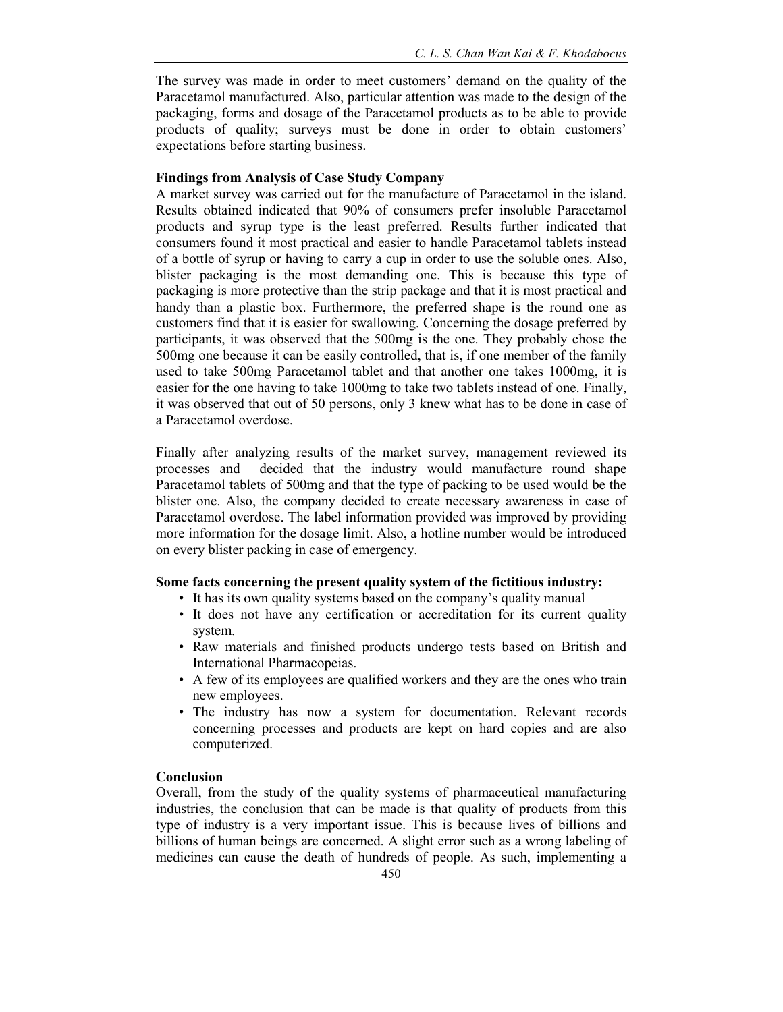The survey was made in order to meet customers' demand on the quality of the Paracetamol manufactured. Also, particular attention was made to the design of the packaging, forms and dosage of the Paracetamol products as to be able to provide products of quality; surveys must be done in order to obtain customers' expectations before starting business.

## Findings from Analysis of Case Study Company

A market survey was carried out for the manufacture of Paracetamol in the island. Results obtained indicated that 90% of consumers prefer insoluble Paracetamol products and syrup type is the least preferred. Results further indicated that consumers found it most practical and easier to handle Paracetamol tablets instead of a bottle of syrup or having to carry a cup in order to use the soluble ones. Also, blister packaging is the most demanding one. This is because this type of packaging is more protective than the strip package and that it is most practical and handy than a plastic box. Furthermore, the preferred shape is the round one as customers find that it is easier for swallowing. Concerning the dosage preferred by participants, it was observed that the 500mg is the one. They probably chose the 500mg one because it can be easily controlled, that is, if one member of the family used to take 500mg Paracetamol tablet and that another one takes 1000mg, it is easier for the one having to take 1000mg to take two tablets instead of one. Finally, it was observed that out of 50 persons, only 3 knew what has to be done in case of a Paracetamol overdose.

Finally after analyzing results of the market survey, management reviewed its processes and decided that the industry would manufacture round shape Paracetamol tablets of 500mg and that the type of packing to be used would be the blister one. Also, the company decided to create necessary awareness in case of Paracetamol overdose. The label information provided was improved by providing more information for the dosage limit. Also, a hotline number would be introduced on every blister packing in case of emergency.

## Some facts concerning the present quality system of the fictitious industry:

- It has its own quality systems based on the company's quality manual
- It does not have any certification or accreditation for its current quality system.
- Raw materials and finished products undergo tests based on British and International Pharmacopeias.
- A few of its employees are qualified workers and they are the ones who train new employees.
- The industry has now a system for documentation. Relevant records concerning processes and products are kept on hard copies and are also computerized.

## Conclusion

Overall, from the study of the quality systems of pharmaceutical manufacturing industries, the conclusion that can be made is that quality of products from this type of industry is a very important issue. This is because lives of billions and billions of human beings are concerned. A slight error such as a wrong labeling of medicines can cause the death of hundreds of people. As such, implementing a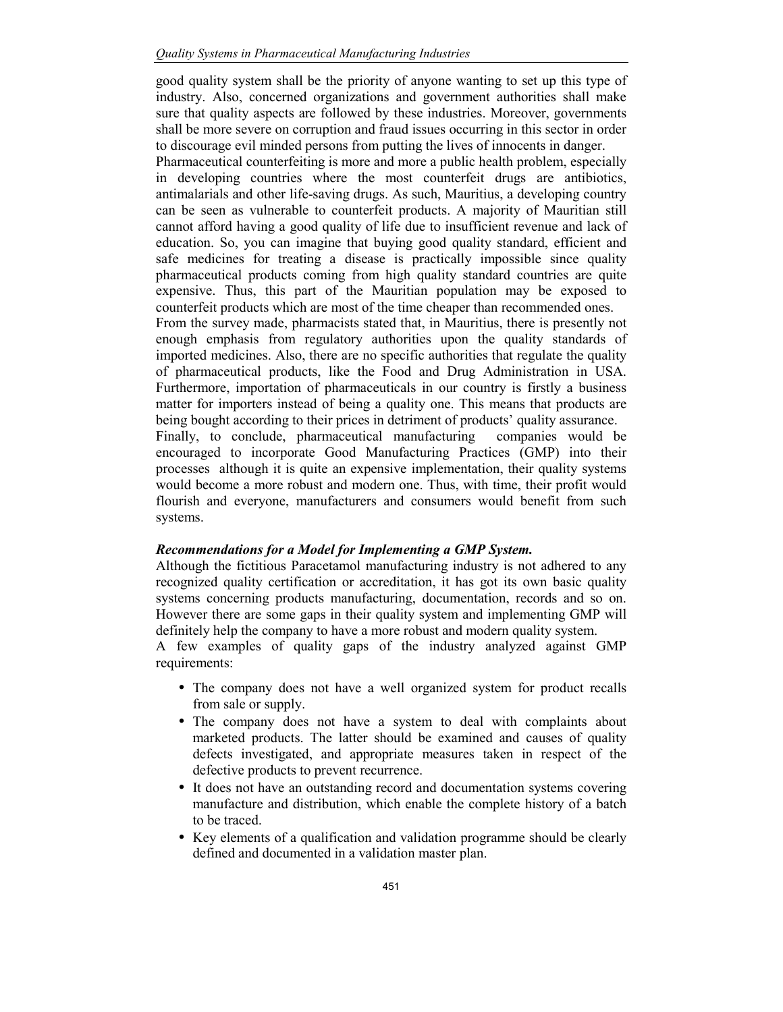good quality system shall be the priority of anyone wanting to set up this type of industry. Also, concerned organizations and government authorities shall make sure that quality aspects are followed by these industries. Moreover, governments shall be more severe on corruption and fraud issues occurring in this sector in order to discourage evil minded persons from putting the lives of innocents in danger.

Pharmaceutical counterfeiting is more and more a public health problem, especially in developing countries where the most counterfeit drugs are antibiotics, antimalarials and other life-saving drugs. As such, Mauritius, a developing country can be seen as vulnerable to counterfeit products. A majority of Mauritian still cannot afford having a good quality of life due to insufficient revenue and lack of education. So, you can imagine that buying good quality standard, efficient and safe medicines for treating a disease is practically impossible since quality pharmaceutical products coming from high quality standard countries are quite expensive. Thus, this part of the Mauritian population may be exposed to counterfeit products which are most of the time cheaper than recommended ones.

From the survey made, pharmacists stated that, in Mauritius, there is presently not enough emphasis from regulatory authorities upon the quality standards of imported medicines. Also, there are no specific authorities that regulate the quality of pharmaceutical products, like the Food and Drug Administration in USA. Furthermore, importation of pharmaceuticals in our country is firstly a business matter for importers instead of being a quality one. This means that products are being bought according to their prices in detriment of products' quality assurance. Finally, to conclude, pharmaceutical manufacturing companies would be

encouraged to incorporate Good Manufacturing Practices (GMP) into their processes although it is quite an expensive implementation, their quality systems would become a more robust and modern one. Thus, with time, their profit would flourish and everyone, manufacturers and consumers would benefit from such systems.

## *Recommendations for a Model for Implementing a GMP System.*

Although the fictitious Paracetamol manufacturing industry is not adhered to any recognized quality certification or accreditation, it has got its own basic quality systems concerning products manufacturing, documentation, records and so on. However there are some gaps in their quality system and implementing GMP will definitely help the company to have a more robust and modern quality system.

A few examples of quality gaps of the industry analyzed against GMP requirements:

- The company does not have a well organized system for product recalls from sale or supply.
- The company does not have a system to deal with complaints about marketed products. The latter should be examined and causes of quality defects investigated, and appropriate measures taken in respect of the defective products to prevent recurrence.
- It does not have an outstanding record and documentation systems covering manufacture and distribution, which enable the complete history of a batch to be traced.
- Key elements of a qualification and validation programme should be clearly defined and documented in a validation master plan.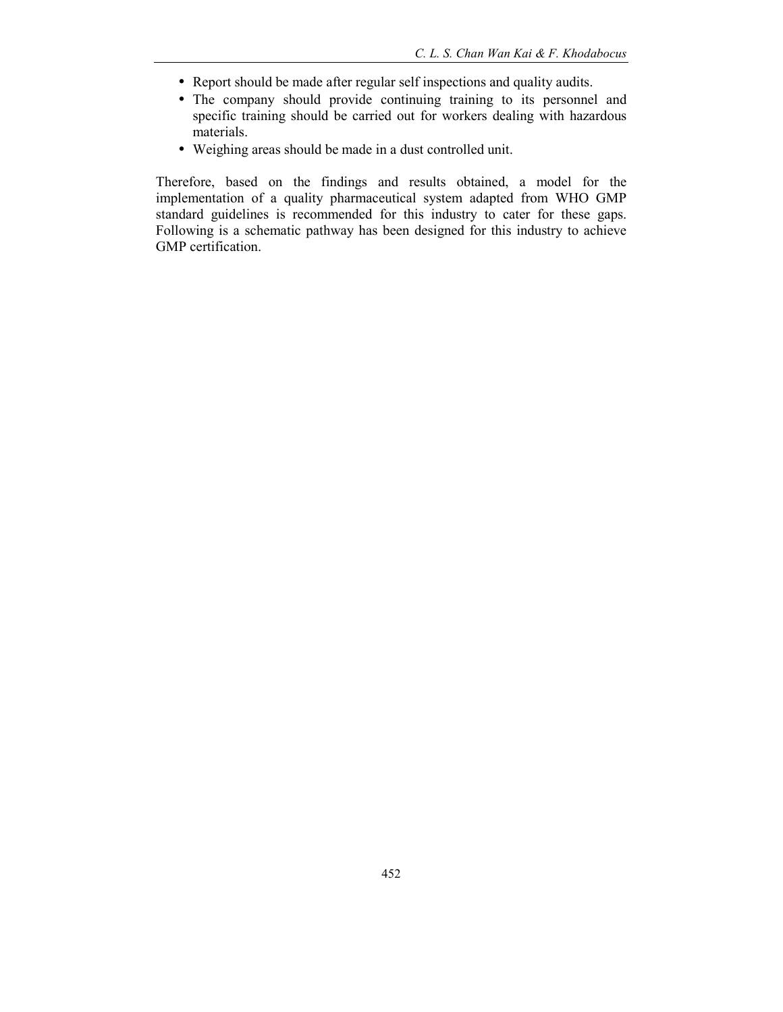- Report should be made after regular self inspections and quality audits.
- The company should provide continuing training to its personnel and specific training should be carried out for workers dealing with hazardous materials.
- Weighing areas should be made in a dust controlled unit.

Therefore, based on the findings and results obtained, a model for the implementation of a quality pharmaceutical system adapted from WHO GMP standard guidelines is recommended for this industry to cater for these gaps. Following is a schematic pathway has been designed for this industry to achieve GMP certification.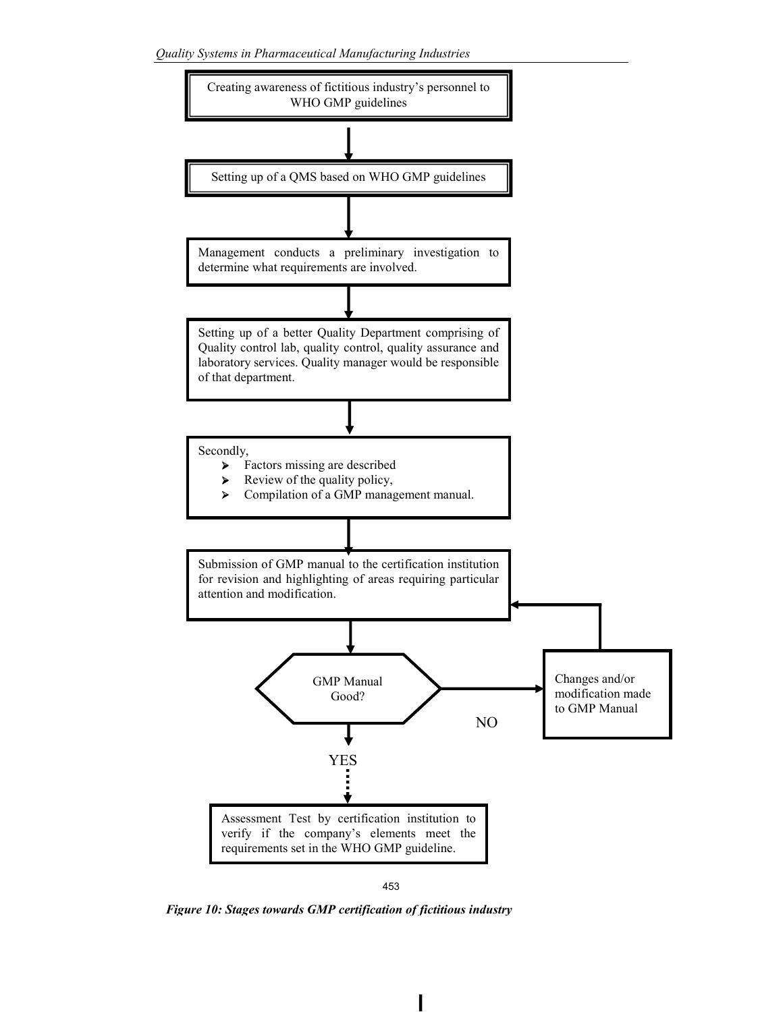

453

*Figure 10: Stages towards GMP certification of fictitious industry*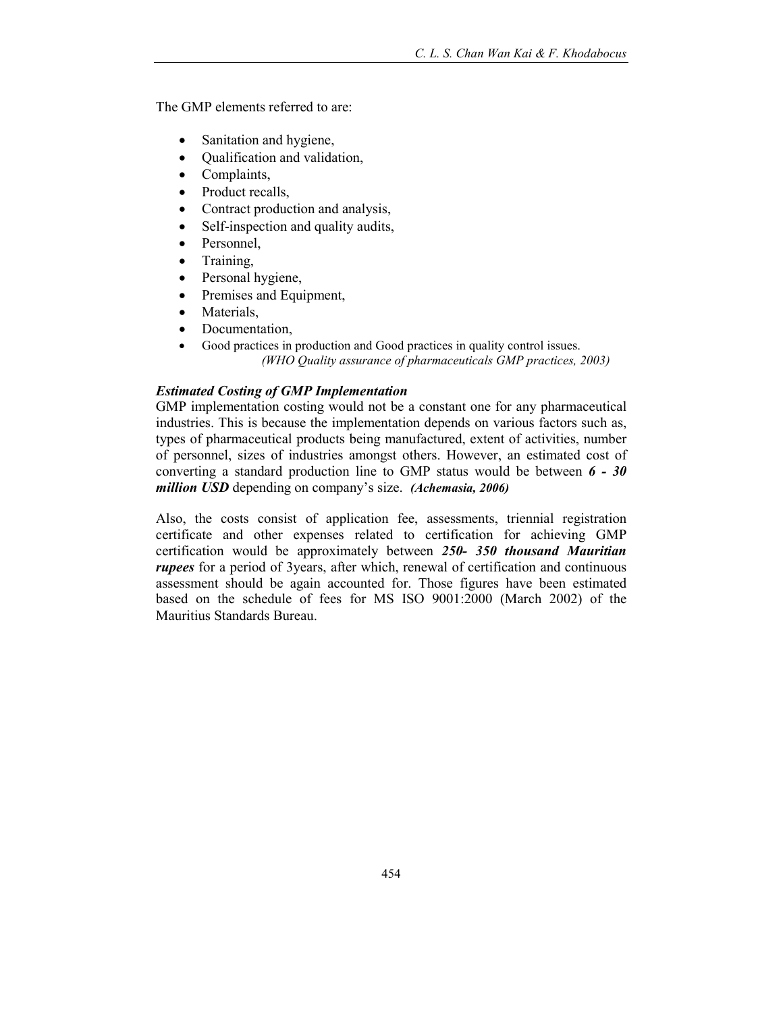The GMP elements referred to are:

- Sanitation and hygiene,
- Oualification and validation,
- Complaints,
- Product recalls.
- Contract production and analysis,
- Self-inspection and quality audits,
- Personnel.
- Training,
- Personal hygiene,
- Premises and Equipment,
- Materials,
- Documentation,
- Good practices in production and Good practices in quality control issues. (WHO Quality assurance of pharmaceuticals GMP practices, 2003)

## *Estimated Costing of GMP Implementation*

GMP implementation costing would not be a constant one for any pharmaceutical industries. This is because the implementation depends on various factors such as, types of pharmaceutical products being manufactured, extent of activities, number of personnel, sizes of industries amongst others. However, an estimated cost of converting a standard production line to GMP status would be between *6 - 30 million USD* depending on company's size. *(Achemasia, 2006)* 

Also, the costs consist of application fee, assessments, triennial registration certificate and other expenses related to certification for achieving GMP certification would be approximately between *250- 350 thousand Mauritian rupees* for a period of 3years, after which, renewal of certification and continuous assessment should be again accounted for. Those figures have been estimated based on the schedule of fees for MS ISO 9001:2000 (March 2002) of the Mauritius Standards Bureau.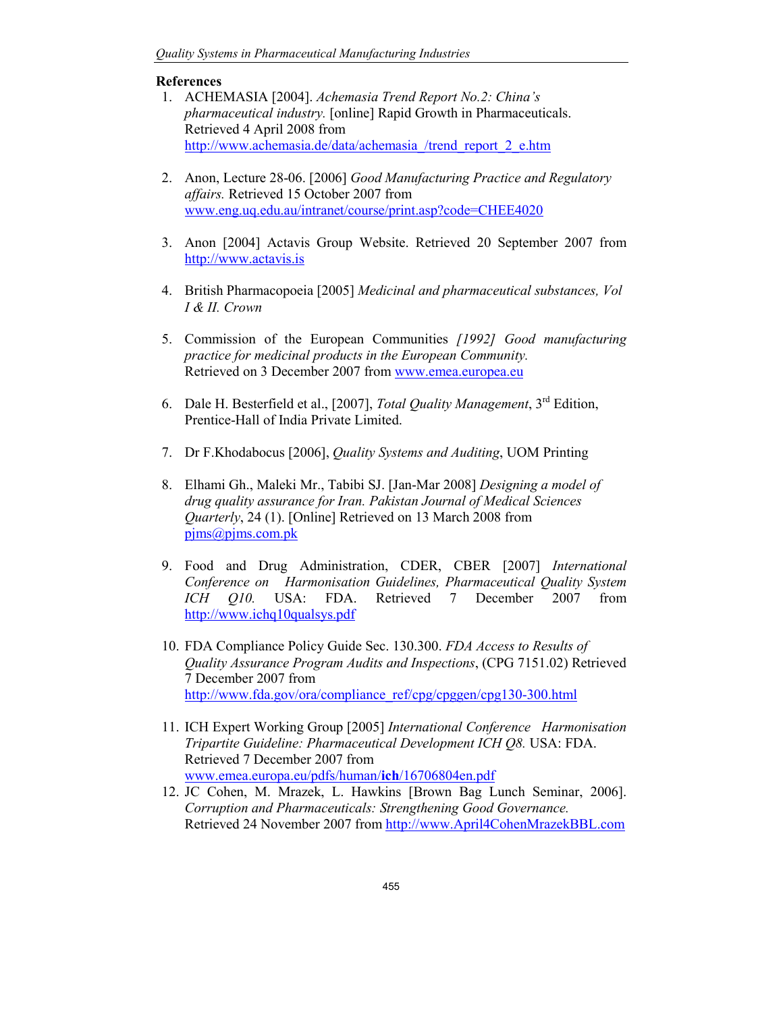### **References**

- 1. ACHEMASIA [2004]. Achemasia Trend Report No.2: China's pharmaceutical industry. [online] Rapid Growth in Pharmaceuticals. Retrieved 4 April 2008 from http://www.achemasia.de/data/achemasia\_/trend\_report\_2\_e.htm
- 2. Anon, Lecture 28-06. [2006] Good Manufacturing Practice and Regulatory affairs. Retrieved 15 October 2007 from www.eng.uq.edu.au/intranet/course/print.asp?code=CHEE4020
- 3. Anon [2004] Actavis Group Website. Retrieved 20 September 2007 from http://www.actavis.is
- 4. British Pharmacopoeia [2005] Medicinal and pharmaceutical substances, Vol I & II. Crown
- 5. Commission of the European Communities [1992] Good manufacturing practice for medicinal products in the European Community. Retrieved on 3 December 2007 from www.emea.europea.eu
- 6. Dale H. Besterfield et al., [2007], *Total Quality Management*,  $3^{rd}$  Edition, Prentice-Hall of India Private Limited.
- 7. Dr F.Khodabocus [2006], Quality Systems and Auditing, UOM Printing
- 8. Elhami Gh., Maleki Mr., Tabibi SJ. [Jan-Mar 2008] Designing a model of drug quality assurance for Iran. Pakistan Journal of Medical Sciences Quarterly, 24 (1). [Online] Retrieved on 13 March 2008 from pjms@pjms.com.pk
- 9. Food and Drug Administration, CDER, CBER [2007] International Conference on Harmonisation Guidelines, Pharmaceutical Quality System ICH Q10. USA: FDA. Retrieved 7 December 2007 from http://www.ichq10qualsys.pdf
- 10. FDA Compliance Policy Guide Sec. 130.300. FDA Access to Results of Quality Assurance Program Audits and Inspections, (CPG 7151.02) Retrieved 7 December 2007 from http://www.fda.gov/ora/compliance\_ref/cpg/cpggen/cpg130-300.html
- 11. ICH Expert Working Group [2005] International Conference Harmonisation Tripartite Guideline: Pharmaceutical Development ICH Q8. USA: FDA. Retrieved 7 December 2007 from www.emea.europa.eu/pdfs/human/ich/16706804en.pdf
- 12. JC Cohen, M. Mrazek, L. Hawkins [Brown Bag Lunch Seminar, 2006]. Corruption and Pharmaceuticals: Strengthening Good Governance. Retrieved 24 November 2007 from http://www.April4CohenMrazekBBL.com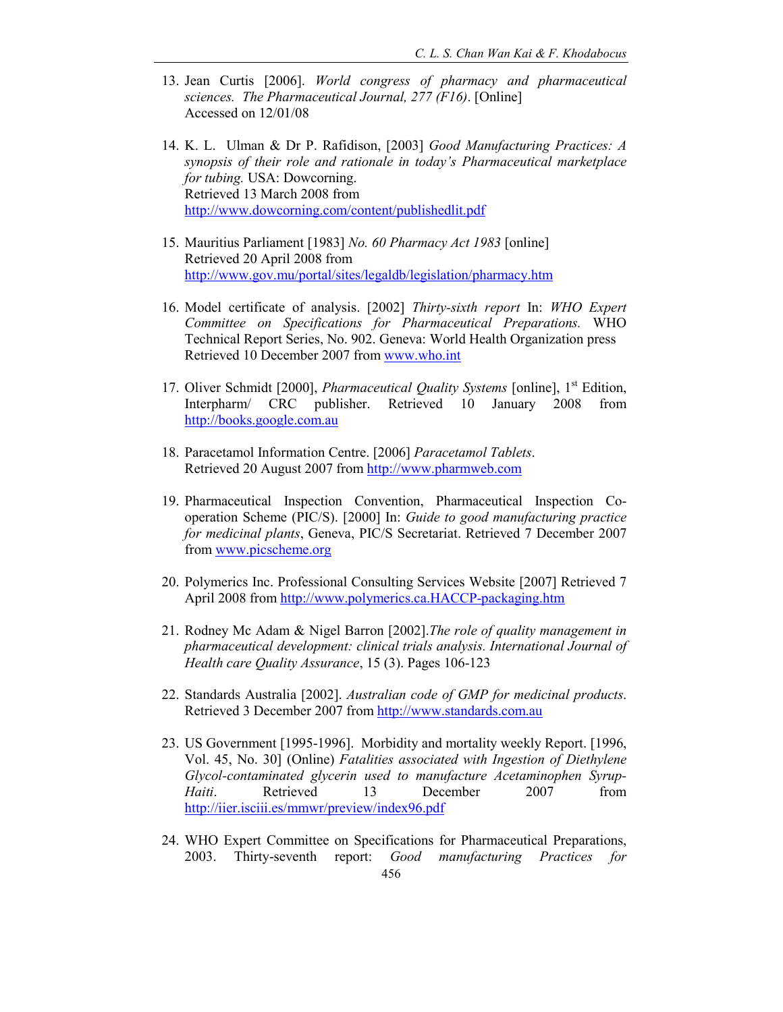- 13. Jean Curtis [2006]. World congress of pharmacy and pharmaceutical sciences. The Pharmaceutical Journal, 277 (F16). [Online] Accessed on 12/01/08
- 14. K. L. Ulman & Dr P. Rafidison, [2003] Good Manufacturing Practices: A synopsis of their role and rationale in today's Pharmaceutical marketplace for tubing. USA: Dowcorning. Retrieved 13 March 2008 from http://www.dowcorning.com/content/publishedlit.pdf
- 15. Mauritius Parliament [1983] No. 60 Pharmacy Act 1983 [online] Retrieved 20 April 2008 from http://www.gov.mu/portal/sites/legaldb/legislation/pharmacy.htm
- 16. Model certificate of analysis. [2002] Thirty-sixth report In: WHO Expert Committee on Specifications for Pharmaceutical Preparations. WHO Technical Report Series, No. 902. Geneva: World Health Organization press Retrieved 10 December 2007 from www.who.int
- 17. Oliver Schmidt [2000], *Pharmaceutical Quality Systems* [online], 1<sup>st</sup> Edition, Interpharm/ CRC publisher. Retrieved 10 January 2008 from http://books.google.com.au
- 18. Paracetamol Information Centre. [2006] Paracetamol Tablets. Retrieved 20 August 2007 from http://www.pharmweb.com
- 19. Pharmaceutical Inspection Convention, Pharmaceutical Inspection Cooperation Scheme (PIC/S). [2000] In: Guide to good manufacturing practice for medicinal plants, Geneva, PIC/S Secretariat. Retrieved 7 December 2007 from www.picscheme.org
- 20. Polymerics Inc. Professional Consulting Services Website [2007] Retrieved 7 April 2008 from http://www.polymerics.ca.HACCP-packaging.htm
- 21. Rodney Mc Adam & Nigel Barron [2002].The role of quality management in pharmaceutical development: clinical trials analysis. International Journal of Health care Quality Assurance, 15 (3). Pages 106-123
- 22. Standards Australia [2002]. Australian code of GMP for medicinal products. Retrieved 3 December 2007 from http://www.standards.com.au
- 23. US Government [1995-1996]. Morbidity and mortality weekly Report. [1996, Vol. 45, No. 30] (Online) Fatalities associated with Ingestion of Diethylene Glycol-contaminated glycerin used to manufacture Acetaminophen Syrup-Haiti. Retrieved 13 December 2007 from http://iier.isciii.es/mmwr/preview/index96.pdf
- 456 24. WHO Expert Committee on Specifications for Pharmaceutical Preparations, 2003. Thirty-seventh report: Good manufacturing Practices for